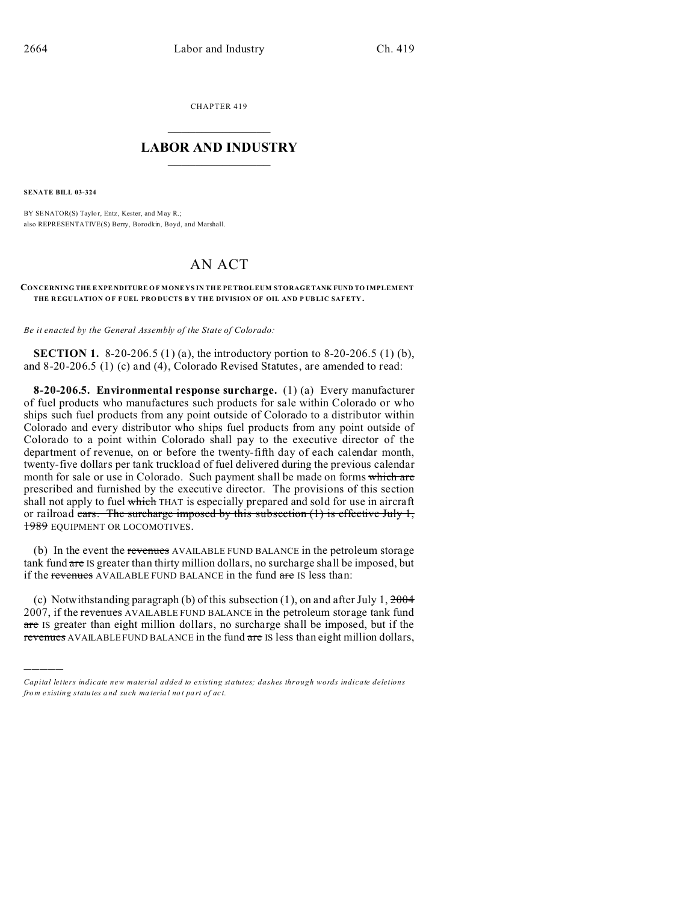CHAPTER 419  $\overline{\phantom{a}}$  , where  $\overline{\phantom{a}}$ 

## **LABOR AND INDUSTRY**  $\frac{1}{\sqrt{2}}$  ,  $\frac{1}{\sqrt{2}}$  ,  $\frac{1}{\sqrt{2}}$  ,  $\frac{1}{\sqrt{2}}$  ,  $\frac{1}{\sqrt{2}}$  ,  $\frac{1}{\sqrt{2}}$

**SENATE BILL 03-324**

)))))

BY SENATOR(S) Taylor, Entz, Kester, and May R.; also REPRESENTATIVE(S) Berry, Borodkin, Boyd, and Marshall.

## AN ACT

## **CONCERNING THE E XPE NDITURE OF MONE YS IN THE PE TROLEUM STORAGETANK FUND TO IMPLEMENT THE R EGU LATION O F F UEL PRO DUCTS B Y THE DIVISION OF OIL AND P UBLIC SAFETY.**

*Be it enacted by the General Assembly of the State of Colorado:*

**SECTION 1.** 8-20-206.5 (1) (a), the introductory portion to 8-20-206.5 (1) (b), and 8-20-206.5 (1) (c) and (4), Colorado Revised Statutes, are amended to read:

**8-20-206.5. Environmental response surcharge.** (1) (a) Every manufacturer of fuel products who manufactures such products for sale within Colorado or who ships such fuel products from any point outside of Colorado to a distributor within Colorado and every distributor who ships fuel products from any point outside of Colorado to a point within Colorado shall pay to the executive director of the department of revenue, on or before the twenty-fifth day of each calendar month, twenty-five dollars per tank truckload of fuel delivered during the previous calendar month for sale or use in Colorado. Such payment shall be made on forms which are prescribed and furnished by the executive director. The provisions of this section shall not apply to fuel which THAT is especially prepared and sold for use in aircraft or railroad cars. The surcharge imposed by this subsection  $(1)$  is effective July 1, **1989** EQUIPMENT OR LOCOMOTIVES.

(b) In the event the revenues AVAILABLE FUND BALANCE in the petroleum storage tank fund are IS greater than thirty million dollars, no surcharge shall be imposed, but if the revenues AVAILABLE FUND BALANCE in the fund are IS less than:

(c) Notwithstanding paragraph (b) of this subsection  $(1)$ , on and after July 1,  $\frac{2004}{1}$ 2007, if the revenues AVAILABLE FUND BALANCE in the petroleum storage tank fund are IS greater than eight million dollars, no surcharge shall be imposed, but if the revenues AVAILABLE FUND BALANCE in the fund are IS less than eight million dollars,

*Capital letters indicate new material added to existing statutes; dashes through words indicate deletions from e xistin g statu tes a nd such ma teria l no t pa rt of ac t.*